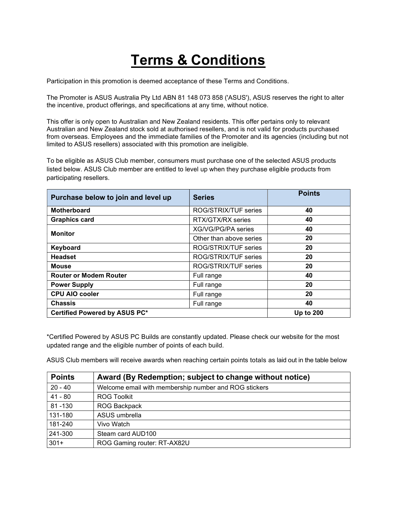## **Terms & Conditions**

Participation in this promotion is deemed acceptance of these Terms and Conditions.

The Promoter is ASUS Australia Pty Ltd ABN 81 148 073 858 ('ASUS'), ASUS reserves the right to alter the incentive, product offerings, and specifications at any time, without notice.

This offer is only open to Australian and New Zealand residents. This offer pertains only to relevant Australian and New Zealand stock sold at authorised resellers, and is not valid for products purchased from overseas. Employees and the immediate families of the Promoter and its agencies (including but not limited to ASUS resellers) associated with this promotion are ineligible.

To be eligible as ASUS Club member, consumers must purchase one of the selected ASUS products listed below. ASUS Club member are entitled to level up when they purchase eligible products from participating resellers.

| Purchase below to join and level up | <b>Series</b>           | <b>Points</b>    |
|-------------------------------------|-------------------------|------------------|
| <b>Motherboard</b>                  | ROG/STRIX/TUF series    | 40               |
| <b>Graphics card</b>                | RTX/GTX/RX series       | 40               |
| <b>Monitor</b>                      | XG/VG/PG/PA series      | 40               |
|                                     | Other than above series | 20               |
| Keyboard                            | ROG/STRIX/TUF series    | 20               |
| <b>Headset</b>                      | ROG/STRIX/TUF series    | 20               |
| <b>Mouse</b>                        | ROG/STRIX/TUF series    | 20               |
| <b>Router or Modem Router</b>       | Full range              | 40               |
| <b>Power Supply</b>                 | Full range              | 20               |
| <b>CPU AIO cooler</b>               | Full range              | 20               |
| <b>Chassis</b>                      | Full range              | 40               |
| Certified Powered by ASUS PC*       |                         | <b>Up to 200</b> |

\*Certified Powered by ASUS PC Builds are constantly updated. Please check our website for the most updated range and the eligible number of points of each build.

ASUS Club members will receive awards when reaching certain points totals as laid out in the table below

| <b>Points</b> | Award (By Redemption; subject to change without notice) |
|---------------|---------------------------------------------------------|
| $20 - 40$     | Welcome email with membership number and ROG stickers   |
| $41 - 80$     | <b>ROG Toolkit</b>                                      |
| 81-130        | <b>ROG Backpack</b>                                     |
| 131-180       | ASUS umbrella                                           |
| 181-240       | Vivo Watch                                              |
| 241-300       | Steam card AUD100                                       |
| $301+$        | ROG Gaming router: RT-AX82U                             |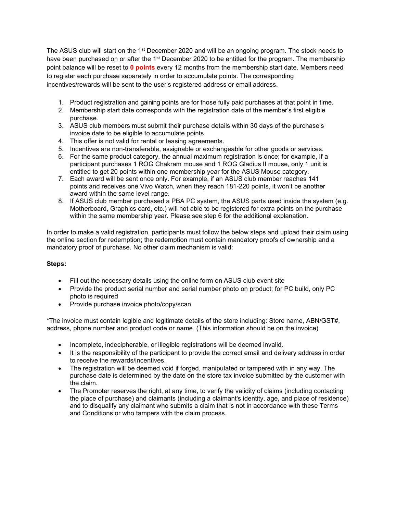The ASUS club will start on the 1<sup>st</sup> December 2020 and will be an ongoing program. The stock needs to have been purchased on or after the 1<sup>st</sup> December 2020 to be entitled for the program. The membership point balance will be reset to 0 points every 12 months from the membership start date. Members need to register each purchase separately in order to accumulate points. The corresponding incentives/rewards will be sent to the user's registered address or email address.

- 1. Product registration and gaining points are for those fully paid purchases at that point in time.
- 2. Membership start date corresponds with the registration date of the member's first eligible purchase.
- 3. ASUS club members must submit their purchase details within 30 days of the purchase's invoice date to be eligible to accumulate points.
- 4. This offer is not valid for rental or leasing agreements.
- 5. Incentives are non-transferable, assignable or exchangeable for other goods or services.
- 6. For the same product category, the annual maximum registration is once; for example, If a participant purchases 1 ROG Chakram mouse and 1 ROG Gladius II mouse, only 1 unit is entitled to get 20 points within one membership year for the ASUS Mouse category.
- 7. Each award will be sent once only. For example, if an ASUS club member reaches 141 points and receives one Vivo Watch, when they reach 181-220 points, it won't be another award within the same level range.
- 8. If ASUS club member purchased a PBA PC system, the ASUS parts used inside the system (e.g. Motherboard, Graphics card, etc.) will not able to be registered for extra points on the purchase within the same membership year. Please see step 6 for the additional explanation.

In order to make a valid registration, participants must follow the below steps and upload their claim using the online section for redemption; the redemption must contain mandatory proofs of ownership and a mandatory proof of purchase. No other claim mechanism is valid:

## Steps:

- Fill out the necessary details using the online form on ASUS club event site
- Provide the product serial number and serial number photo on product; for PC build, only PC photo is required
- Provide purchase invoice photo/copy/scan

\*The invoice must contain legible and legitimate details of the store including: Store name, ABN/GST#, address, phone number and product code or name. (This information should be on the invoice)

- Incomplete, indecipherable, or illegible registrations will be deemed invalid.
- It is the responsibility of the participant to provide the correct email and delivery address in order to receive the rewards/incentives.
- The registration will be deemed void if forged, manipulated or tampered with in any way. The purchase date is determined by the date on the store tax invoice submitted by the customer with the claim.
- The Promoter reserves the right, at any time, to verify the validity of claims (including contacting the place of purchase) and claimants (including a claimant's identity, age, and place of residence) and to disqualify any claimant who submits a claim that is not in accordance with these Terms and Conditions or who tampers with the claim process.